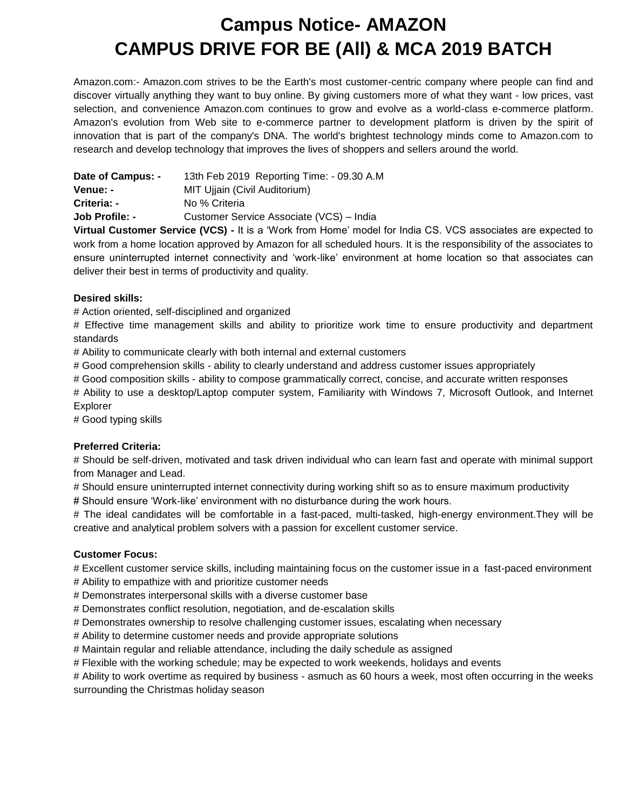# **Campus Notice- AMAZON CAMPUS DRIVE FOR BE (All) & MCA 2019 BATCH**

Amazon.com:- Amazon.com strives to be the Earth's most customer-centric company where people can find and discover virtually anything they want to buy online. By giving customers more of what they want - low prices, vast selection, and convenience Amazon.com continues to grow and evolve as a world-class e-commerce platform. Amazon's evolution from Web site to e-commerce partner to development platform is driven by the spirit of innovation that is part of the company's DNA. The world's brightest technology minds come to Amazon.com to research and develop technology that improves the lives of shoppers and sellers around the world.

| Date of Campus: - | 13th Feb 2019 Reporting Time: - 09.30 A.M |  |
|-------------------|-------------------------------------------|--|
| Venue: -          | MIT Ujjain (Civil Auditorium)             |  |
| Criteria: -       | No % Criteria                             |  |
| Job Profile: -    | Customer Service Associate (VCS) - India  |  |

**Virtual Customer Service (VCS) -** It is a 'Work from Home' model for India CS. VCS associates are expected to work from a home location approved by Amazon for all scheduled hours. It is the responsibility of the associates to ensure uninterrupted internet connectivity and 'work-like' environment at home location so that associates can deliver their best in terms of productivity and quality.

### **Desired skills:**

# Action oriented, self-disciplined and organized

# Effective time management skills and ability to prioritize work time to ensure productivity and department standards

# Ability to communicate clearly with both internal and external customers

# Good comprehension skills - ability to clearly understand and address customer issues appropriately

# Good composition skills - ability to compose grammatically correct, concise, and accurate written responses

# Ability to use a desktop/Laptop computer system, Familiarity with Windows 7, Microsoft Outlook, and Internet Explorer

# Good typing skills

### **Preferred Criteria:**

# Should be self-driven, motivated and task driven individual who can learn fast and operate with minimal support from Manager and Lead.

# Should ensure uninterrupted internet connectivity during working shift so as to ensure maximum productivity

# Should ensure 'Work-like' environment with no disturbance during the work hours.

# The ideal candidates will be comfortable in a fast-paced, multi-tasked, high-energy environment.They will be creative and analytical problem solvers with a passion for excellent customer service.

### **Customer Focus:**

# Excellent customer service skills, including maintaining focus on the customer issue in a fast-paced environment # Ability to empathize with and prioritize customer needs

# Demonstrates interpersonal skills with a diverse customer base

# Demonstrates conflict resolution, negotiation, and de-escalation skills

# Demonstrates ownership to resolve challenging customer issues, escalating when necessary

# Ability to determine customer needs and provide appropriate solutions

# Maintain regular and reliable attendance, including the daily schedule as assigned

# Flexible with the working schedule; may be expected to work weekends, holidays and events

# Ability to work overtime as required by business - asmuch as 60 hours a week, most often occurring in the weeks surrounding the Christmas holiday season